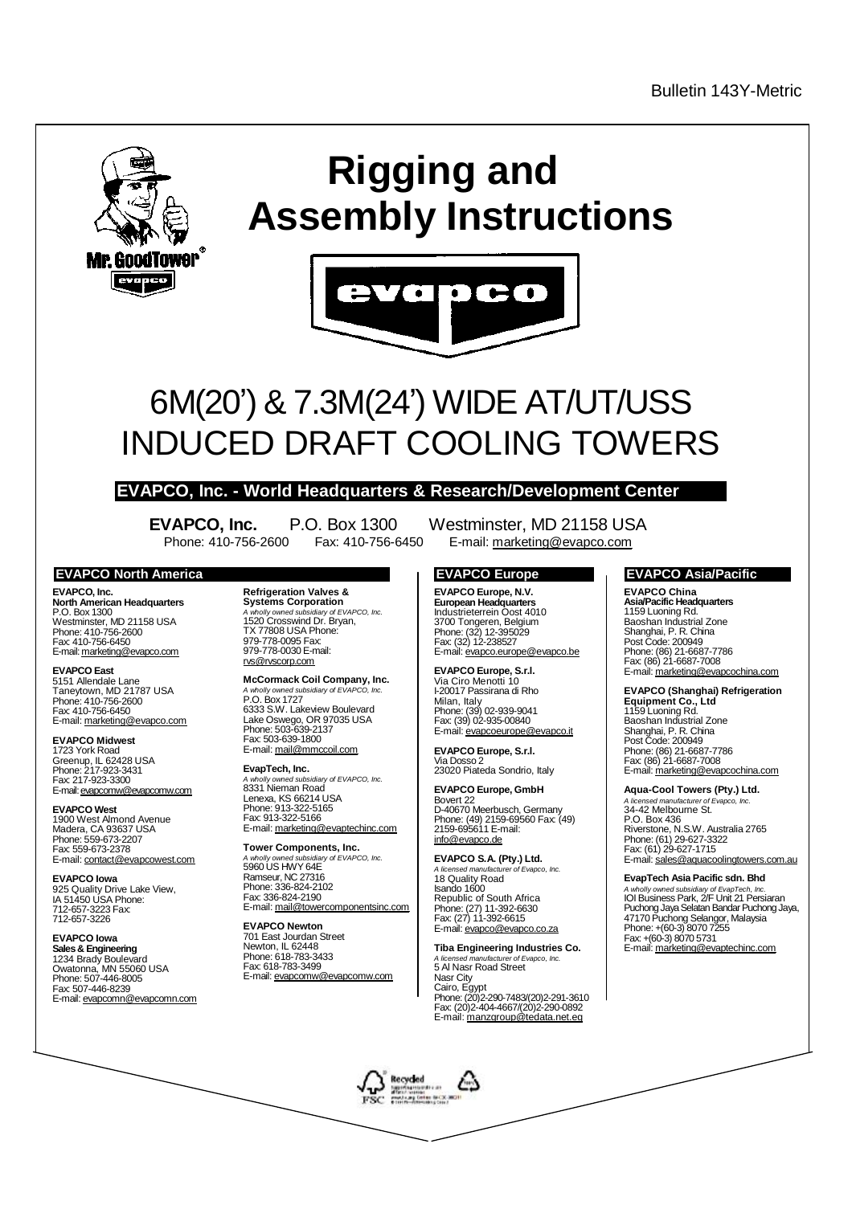

# **Rigging and Assembly Instructions**



# 6M(20') & 7.3M(24') WIDE AT/UT/USS INDUCED DRAFT COOLING TOWERS

### **EVAPCO, Inc. - World Headquarters & Research/Development Center**

**EVAPCO, Inc.** P.O. Box 1300 Westminster, MD 21158 USA Phone: 410-756-2600 Fax: 410-756-6450 E-mail: [marketing@evapco.com](mailto:marketing@evapco.com)

#### **EVAPCO North America EVAPCO Europe EVAPCO Asia/Pacific**

**EVAPCO, Inc. North American Headquarters** P.O. Box 1300 Westminster, MD 21158 USA Phone: 410-756-2600 Fax: 410-756-6450 E-mail: [marketing@evapco.com](mailto:marketing@evapco.com)

**EVAPCO East** 5151 Allendale Lane Taneytown, MD 21787 USA Phone: 410-756-2600 Fax: 410-756-6450 E-mail: [marketing@evapco.com](mailto:marketing@evapco.com)

**EVAPCO Midwest** 1723 York Road Greenup, IL 62428 USA Phone: 217-923-3431 Fax: 217-923-3300 E-mail: [evapcomw@evapcomw.com](mailto:evapcomw@evapcomw.com)

**EVAPCO West** 1900 West Almond Avenue Madera, CA 93637 USA Phone: 559-673-2207 Fax: 559-673-2378 E-mail: [contact@evapcowest.com](mailto:contact@evapcowest.com)

**EVAPCO Iowa** 925 Quality Drive Lake View, IA 51450 USA Phone: 712-657-3223 Fax: 712-657-3226

**EVAPCO Iowa Sales & Engineering** 1234 Brady Boulevard Owatonna, MN 55060 USA Phone: 507-446-8005 Fax: 507-446-8239 E-mail: [evapcomn@evapcomn.com](mailto:evapcomn@evapcomn.com) **Refrigeration Valves & Systems Corporation** *A wholly owned subsidiary of EVAPCO, Inc.* 1520 Crosswind Dr. Bryan, TX 77808 USA Phone: 979-778-0095 Fax: 979-778-0030 E-mail: [rvs@rvscorp.com](mailto:rvs@rvscorp.com)

**McCormack Coil Company, Inc.** *A wholly owned subsidiary of EVAPCO, Inc.* P.O. Box 1727 6333 S.W. Lakeview Boulevard Lake Oswego, OR 97035 USA Phone: 503-639-2137 Fax: 503-639-1800 E-mail: [mail@mmccoil.com](mailto:mail@mmccoil.com)

**EvapTech, Inc.** *A wholly owned subsidiary of EVAPCO, Inc.* 8331 Nieman Road Lenexa, KS 66214 USA Phone: 913-322-5165 Fax: 913-322-5166<br>E-mail: <u>marketing@evaptechinc.com</u>

**Tower Components, Inc.** *A wholly owned subsidiary of EVAPCO, Inc.* 5960 US HWY 64E Ramseur, NC 27316 Phone: 336-824-2102 Fax: 336-824-2190 E-mail: [mail@towercomponentsinc.com](mailto:mail@towercomponentsinc.com)

**EVAPCO Newton** 701 East Jourdan Street Newton, IL 62448 Phone: 618-783-3433 Fax: 618-783-3499 E-mail: [evapcomw@evapcomw.com](mailto:evapcomw@evapcomw.com)

 $\bigcap_{n=1}^{\infty}$  Recycled

dia at FSC minimum

**EVAPCO Europe, N.V. European Headquarters** Industrieterrein Oost 4010 3700 Tongeren, Belgium Phone: (32) 12-395029 Fax: (32) 12-238527 E-mail: [evapco.europe@evapco.be](mailto:evapco.europe@evapco.be)

**EVAPCO Europe, S.r.l.** Via Ciro Menotti 10 I-20017 Passirana di Rho Milan, Italy Phone: (39) 02-939-9041 Fax: (39) 02-935-00840 E-mail: [evapcoeurope@evapco.it](mailto:evapcoeurope@evapco.it)

**EVAPCO Europe, S.r.l.** Via Dosso 2 23020 Piateda Sondrio, Italy

**EVAPCO Europe, GmbH** Bovert 22 D-40670 Meerbusch, Germany Phone: (49) 2159-69560 Fax: (49) 2159-695611 E-mail: [info@evapco.de](mailto:info@evapco.de)

**EVAPCO S.A. (Pty.) Ltd.** *A licensed manufacturer of Evapco, Inc.* 18 Quality Road Isando 1600 Republic of South Africa Phone: (27) 11-392-6630 Fax: (27) 11-392-6615 E-mail: [evapco@evapco.co.za](mailto:evapco@evapco.co.za)

**Tiba Engineering Industries Co.** *A licensed manufacturer of Evapco, Inc.* A licensed manufacturer or L Nasr City Cairo, Egypt Phone: (20)2-290-7483/(20)2-291-3610 Fax: (20)2-404-4667/(20)2-290-0892 E-mail: [manzgroup@tedata.net.eg](mailto:manzgroup@tedata.net.eg)

**EVAPCO China Asia/Pacific Headquarters** 1159 Luoning Rd.

Baoshan Industrial Zone Shanghai, P. R. China Post Code: 200949 Phone: (86) 21-6687-7786 Fax: (86) 21-6687-7008 E-mail: [marketing@evapcochina.com](mailto:marketing@evapcochina.com)

#### **EVAPCO (Shanghai) Refrigeration**

**Equipment Co., Ltd** 1159 Luoning Rd. Baoshan Industrial Zone Shanghai, P. R. China Post Code: 200949 Phone: (86) 21-6687-7786 Fax: (86) 21-6687-7008 E-mail: [marketing@evapcochina.com](mailto:marketing@evapcochina.com)

**Aqua-Cool Towers (Pty.) Ltd.** *A licensed manufacturer of Evapco, Inc.* 34-42 Melbourne St. P.O. Box 436 Riverstone, N.S.W. Australia 2765 Phone: (61) 29-627-3322

Fax: (61) 29-627-1715 E-mail: [sales@aquacoolingtowers.com.au](mailto:sales@aquacoolingtowers.com.au)

#### **EvapTech Asia Pacific sdn. Bhd**

*A wholly owned subsidiary of EvapTech, Inc.* IOI Business Park, 2/F Unit 21 Persiaran Puchong Jaya Selatan Bandar Puchong Jaya, 47170 Puchong Selangor, Malaysia Phone: +(60-3) 8070 7255 Fax: +(60-3) 8070 5731 E-mail: [marketing@evaptechinc.com](mailto:marketing@evaptechinc.com)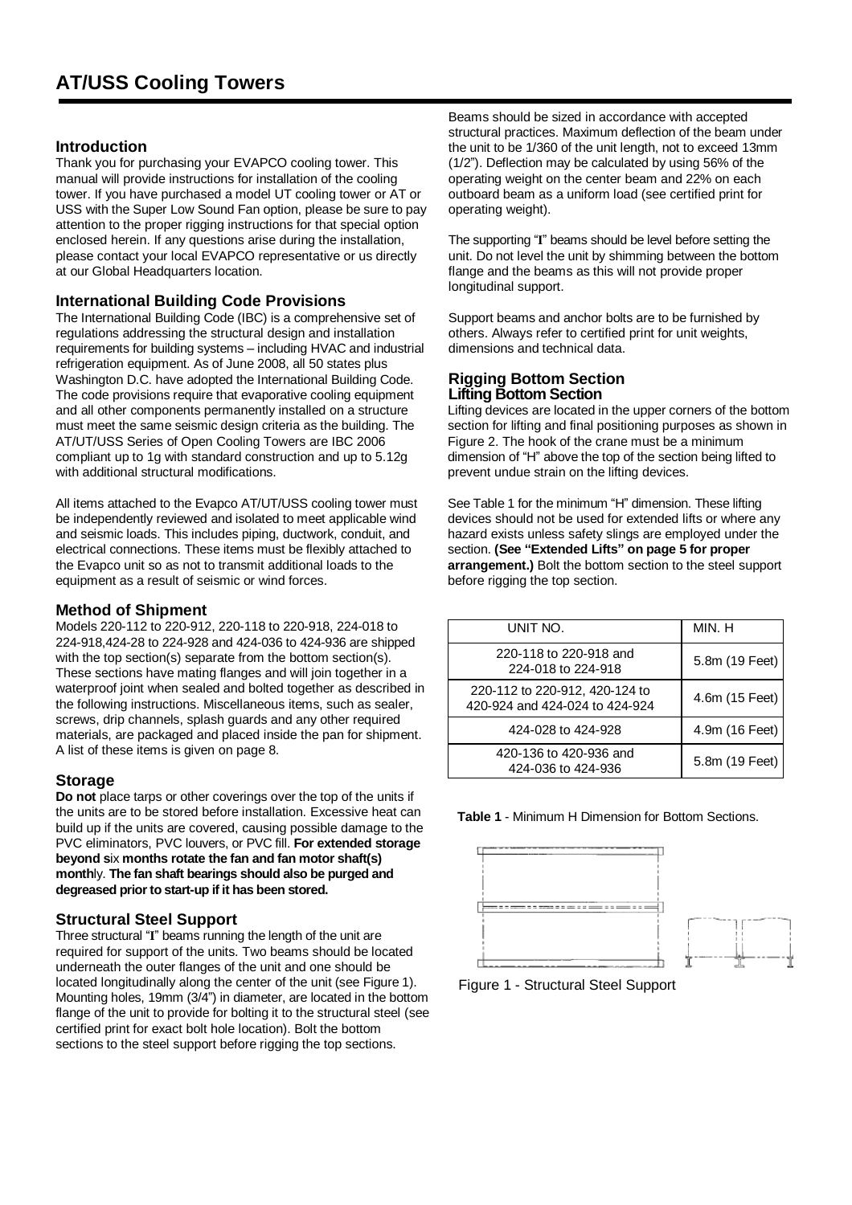#### **Introduction**

Thank you for purchasing your EVAPCO cooling tower. This manual will provide instructions for installation of the cooling tower. If you have purchased a model UT cooling tower or AT or USS with the Super Low Sound Fan option, please be sure to pay attention to the proper rigging instructions for that special option enclosed herein. If any questions arise during the installation, please contact your local EVAPCO representative or us directly at our Global Headquarters location.

#### **International Building Code Provisions**

The International Building Code (IBC) is a comprehensive set of regulations addressing the structural design and installation requirements for building systems – including HVAC and industrial refrigeration equipment. As of June 2008, all 50 states plus Washington D.C. have adopted the International Building Code. The code provisions require that evaporative cooling equipment and all other components permanently installed on a structure must meet the same seismic design criteria as the building. The AT/UT/USS Series of Open Cooling Towers are IBC 2006 compliant up to 1g with standard construction and up to 5.12g with additional structural modifications.

All items attached to the Evapco AT/UT/USS cooling tower must be independently reviewed and isolated to meet applicable wind and seismic loads. This includes piping, ductwork, conduit, and electrical connections. These items must be flexibly attached to the Evapco unit so as not to transmit additional loads to the equipment as a result of seismic or wind forces.

#### **Method of Shipment**

Models 220-112 to 220-912, 220-118 to 220-918, 224-018 to 224-918,424-28 to 224-928 and 424-036 to 424-936 are shipped with the top section(s) separate from the bottom section(s). These sections have mating flanges and will join together in a waterproof joint when sealed and bolted together as described in the following instructions. Miscellaneous items, such as sealer, screws, drip channels, splash guards and any other required materials, are packaged and placed inside the pan for shipment. A list of these items is given on page 8.

#### **Storage**

**Do not** place tarps or other coverings over the top of the units if the units are to be stored before installation. Excessive heat can build up if the units are covered, causing possible damage to the PVC eliminators, PVC louvers, or PVC fill. **For extended storage beyond s**ix **months rotate the fan and fan motor shaft(s) month**ly. **The fan shaft bearings should also be purged and degreased priorto start-up if it has been stored.** 

#### **Structural Steel Support**

Three structural "**I**" beams running the length of the unit are required for support of the units. Two beams should be located underneath the outer flanges of the unit and one should be located longitudinally along the center of the unit (see Figure 1). Mounting holes, 19mm (3/4") in diameter, are located in the bottom flange of the unit to provide for bolting it to the structural steel (see certified print for exact bolt hole location). Bolt the bottom sections to the steel support before rigging the top sections.

Beams should be sized in accordance with accepted structural practices. Maximum deflection of the beam under the unit to be 1/360 of the unit length, not to exceed 13mm (1/2"). Deflection may be calculated by using 56% of the operating weight on the center beam and 22% on each outboard beam as a uniform load (see certified print for operating weight).

The supporting "**I**" beams should be level before setting the unit. Do not level the unit by shimming between the bottom flange and the beams as this will not provide proper longitudinal support.

Support beams and anchor bolts are to be furnished by others. Always refer to certified print for unit weights, dimensions and technical data.

#### **Rigging Bottom Section Lifting Bottom Section**

Lifting devices are located in the upper corners of the bottom section for lifting and final positioning purposes as shown in Figure 2. The hook of the crane must be a minimum dimension of "H" above the top of the section being lifted to prevent undue strain on the lifting devices.

See Table 1 for the minimum "H" dimension. These lifting devices should not be used for extended lifts or where any hazard exists unless safety slings are employed under the section. **(See "Extended Lifts" on page 5 for proper arrangement.)** Bolt the bottom section to the steel support before rigging the top section.

| UNIT NO.                                                         | MIN. H         |
|------------------------------------------------------------------|----------------|
| 220-118 to 220-918 and<br>224-018 to 224-918                     | 5.8m (19 Feet) |
| 220-112 to 220-912, 420-124 to<br>420-924 and 424-024 to 424-924 | 4.6m (15 Feet) |
| 424-028 to 424-928                                               | 4.9m (16 Feet) |
| 420-136 to 420-936 and<br>424-036 to 424-936                     | 5.8m (19 Feet) |





Figure 1 - Structural Steel Support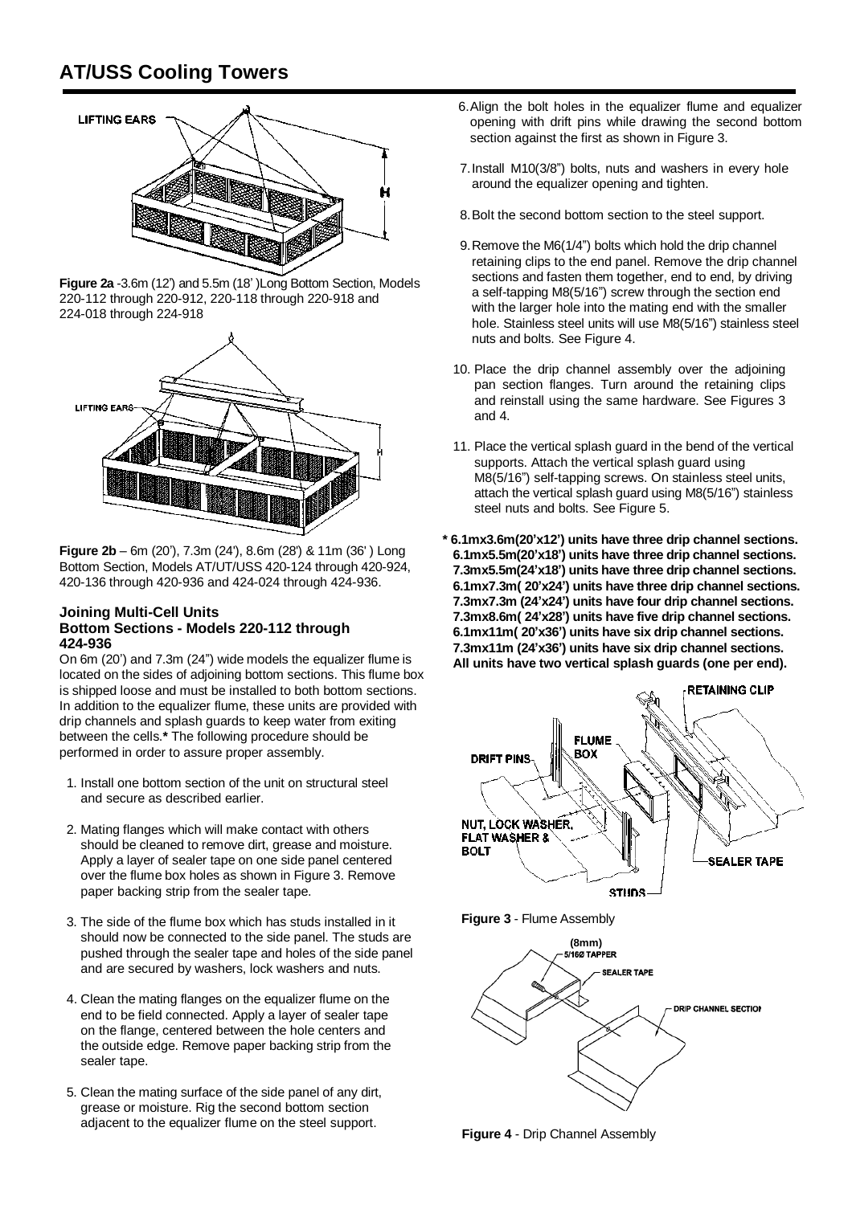

**Figure 2a** -3.6m (12') and 5.5m (18' )Long Bottom Section, Models 220-112 through 220-912, 220-118 through 220-918 and 224-018 through 224-918



**Figure 2b** – 6m (20'), 7.3m (24'), 8.6m (28') & 11m (36' ) Long Bottom Section, Models AT/UT/USS 420-124 through 420-924, 420-136 through 420-936 and 424-024 through 424-936.

#### **Joining Multi-Cell Units Bottom Sections - Models 220-112 through 424-936**

On 6m (20') and 7.3m (24") wide models the equalizer flume is located on the sides of adjoining bottom sections. This flume box is shipped loose and must be installed to both bottom sections. In addition to the equalizer flume, these units are provided with drip channels and splash guards to keep water from exiting between the cells.**\*** The following procedure should be performed in order to assure proper assembly.

- 1. Install one bottom section of the unit on structural steel and secure as described earlier.
- 2. Mating flanges which will make contact with others should be cleaned to remove dirt, grease and moisture. Apply a layer of sealer tape on one side panel centered over the flume box holes as shown in Figure 3. Remove paper backing strip from the sealer tape.
- 3. The side of the flume box which has studs installed in it should now be connected to the side panel. The studs are pushed through the sealer tape and holes of the side panel and are secured by washers, lock washers and nuts.
- 4. Clean the mating flanges on the equalizer flume on the end to be field connected. Apply a layer of sealer tape on the flange, centered between the hole centers and the outside edge. Remove paper backing strip from the sealer tape.
- 5. Clean the mating surface of the side panel of any dirt, grease or moisture. Rig the second bottom section adjacent to the equalizer flume on the steel support.
- 6.Align the bolt holes in the equalizer flume and equalizer opening with drift pins while drawing the second bottom section against the first as shown in Figure 3.
- 7.Install M10(3/8") bolts, nuts and washers in every hole around the equalizer opening and tighten.
- 8.Bolt the second bottom section to the steel support.
- 9.Remove the M6(1/4") bolts which hold the drip channel retaining clips to the end panel. Remove the drip channel sections and fasten them together, end to end, by driving a self-tapping M8(5/16") screw through the section end with the larger hole into the mating end with the smaller hole. Stainless steel units will use M8(5/16") stainless steel nuts and bolts. See Figure 4.
- 10. Place the drip channel assembly over the adjoining pan section flanges. Turn around the retaining clips and reinstall using the same hardware. See Figures 3 and 4.
- 11. Place the vertical splash guard in the bend of the vertical supports. Attach the vertical splash guard using M8(5/16") self-tapping screws. On stainless steel units, attach the vertical splash guard using M8(5/16") stainless steel nuts and bolts. See Figure 5.
- **\* 6.1mx3.6m(20'x12') units have three drip channel sections. 6.1mx5.5m(20'x18') units have three drip channel sections. 7.3mx5.5m(24'x18') units have three drip channel sections. 6.1mx7.3m( 20'x24') units have three drip channel sections. 7.3mx7.3m (24'x24') units have four drip channel sections. 7.3mx8.6m( 24'x28') units have five drip channel sections. 6.1mx11m( 20'x36') units have six drip channel sections. 7.3mx11m (24'x36') units have six drip channel sections. All units have two vertical splash guards (one per end).**



**Figure 3** - Flume Assembly



**Figure 4** - Drip Channel Assembly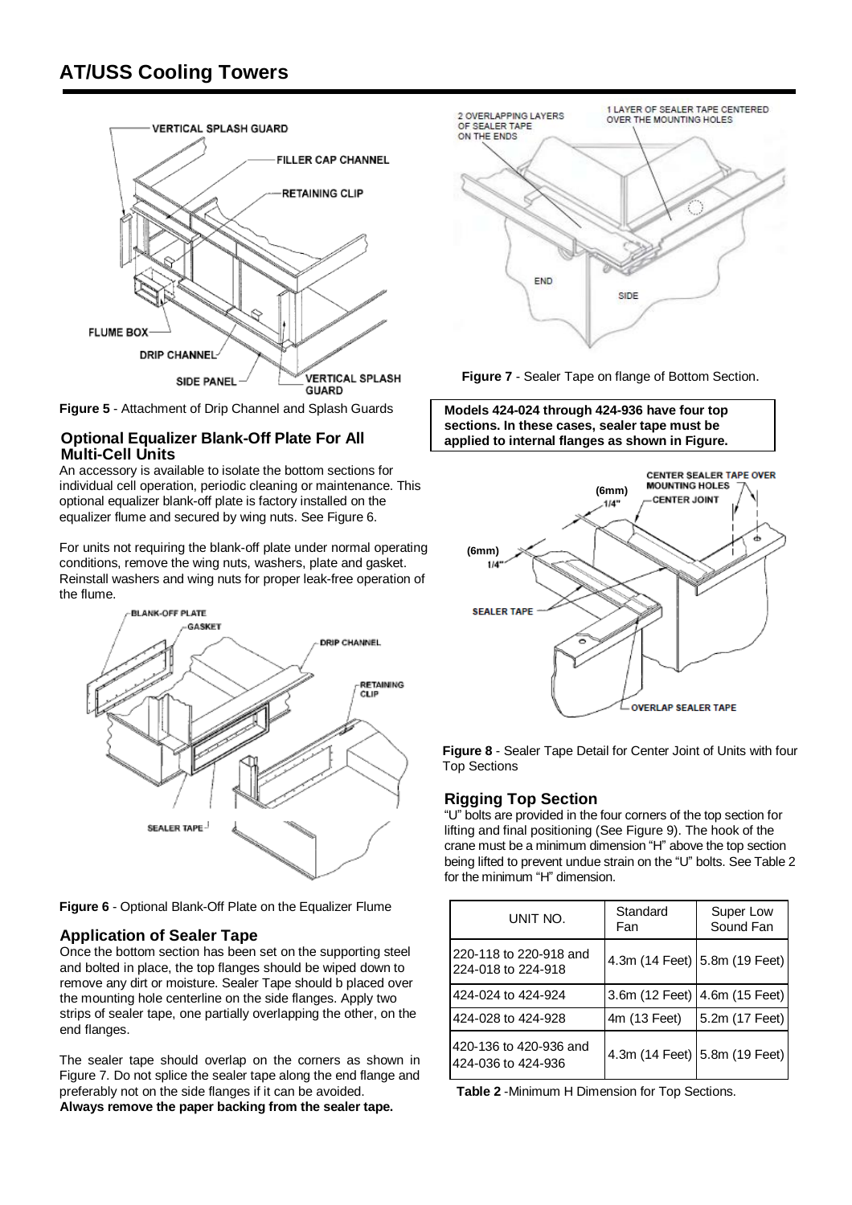

**Figure 5** - Attachment of Drip Channel and Splash Guards

#### **Optional Equalizer Blank-Off Plate For All Multi-Cell Units**

An accessory is available to isolate the bottom sections for individual cell operation, periodic cleaning or maintenance. This optional equalizer blank-off plate is factory installed on the equalizer flume and secured by wing nuts. See Figure 6.

For units not requiring the blank-off plate under normal operating conditions, remove the wing nuts, washers, plate and gasket. Reinstall washers and wing nuts for proper leak-free operation of the flume.



**Figure 6** - Optional Blank-Off Plate on the Equalizer Flume

#### **Application of Sealer Tape**

Once the bottom section has been set on the supporting steel and bolted in place, the top flanges should be wiped down to remove any dirt or moisture. Sealer Tape should b placed over the mounting hole centerline on the side flanges. Apply two strips of sealer tape, one partially overlapping the other, on the end flanges.

The sealer tape should overlap on the corners as shown in Figure 7. Do not splice the sealer tape along the end flange and preferably not on the side flanges if it can be avoided. **Always remove the paper backing from the sealer tape.** 



**Figure 7** - Sealer Tape on flange of Bottom Section.





**Figure 8** - Sealer Tape Detail for Center Joint of Units with four Top Sections

#### **Rigging Top Section**

"U" bolts are provided in the four corners of the top section for lifting and final positioning (See Figure 9). The hook of the crane must be a minimum dimension "H" above the top section being lifted to prevent undue strain on the "U" bolts. See Table 2 for the minimum "H" dimension.

| UNIT NO.                                     | Standard<br>Fan | Super Low<br>Sound Fan          |
|----------------------------------------------|-----------------|---------------------------------|
| 220-118 to 220-918 and<br>224-018 to 224-918 |                 | 4.3m (14 Feet) 5.8m (19 Feet)   |
| 424-024 to 424-924                           |                 | 3.6m (12 Feet)   4.6m (15 Feet) |
| 424-028 to 424-928                           | 4m (13 Feet)    | 5.2m (17 Feet)                  |
| 420-136 to 420-936 and<br>424-036 to 424-936 |                 | 4.3m (14 Feet) 5.8m (19 Feet)   |

**Table 2** -Minimum H Dimension for Top Sections.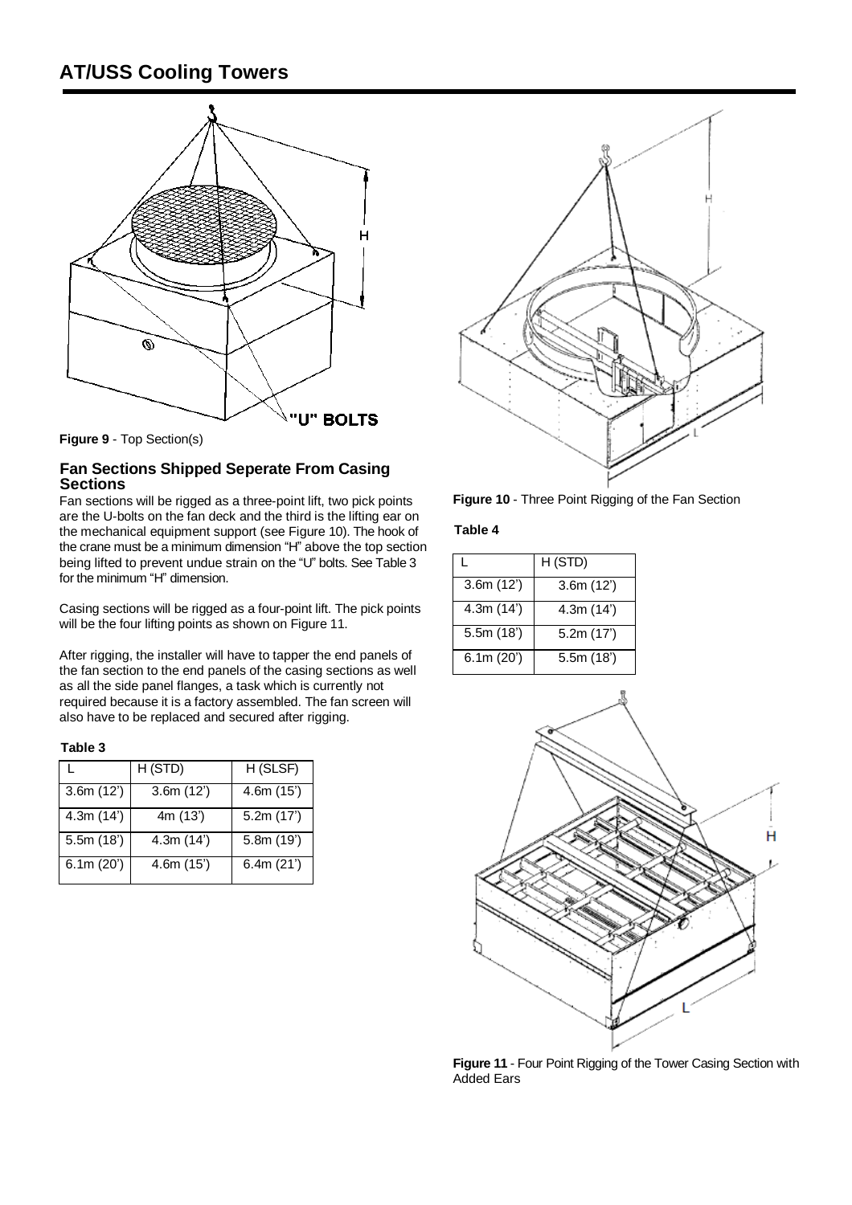

**Figure 9** - Top Section(s)

#### **Fan Sections Shipped Seperate From Casing Sections**

Fan sections will be rigged as a three-point lift, two pick points are the U-bolts on the fan deck and the third is the lifting ear on the mechanical equipment support (see Figure 10). The hook of the crane must be a minimum dimension "H" above the top section being lifted to prevent undue strain on the "U" bolts. See Table 3 for the minimum "H" dimension.

Casing sections will be rigged as a four-point lift. The pick points will be the four lifting points as shown on Figure 11.

After rigging, the installer will have to tapper the end panels of the fan section to the end panels of the casing sections as well as all the side panel flanges, a task which is currently not required because it is a factory assembled. The fan screen will also have to be replaced and secured after rigging.

#### **Table 3**

|           | H (STD)  | H (SLSF)  |
|-----------|----------|-----------|
| 3.6m(12)  | 3.6m(12) | 4.6m(15)  |
| 4.3m(14') | 4m (13') | 5.2m(17)  |
| 5.5m(18)  | 4.3m(14) | 5.8m(19') |
| 6.1m(20') | 4.6m(15) | 6.4m(21)  |



**Figure 10** - Three Point Rigging of the Fan Section

**Table 4**

|          | H (STD)   |
|----------|-----------|
| 3.6m(12) | 3.6m(12)  |
| 4.3m(14) | 4.3m(14') |
| 5.5m(18) | 5.2m(17)  |
| 6.1m(20) | 5.5m(18)  |



**Figure 11** - Four Point Rigging of the Tower Casing Section with Added Ears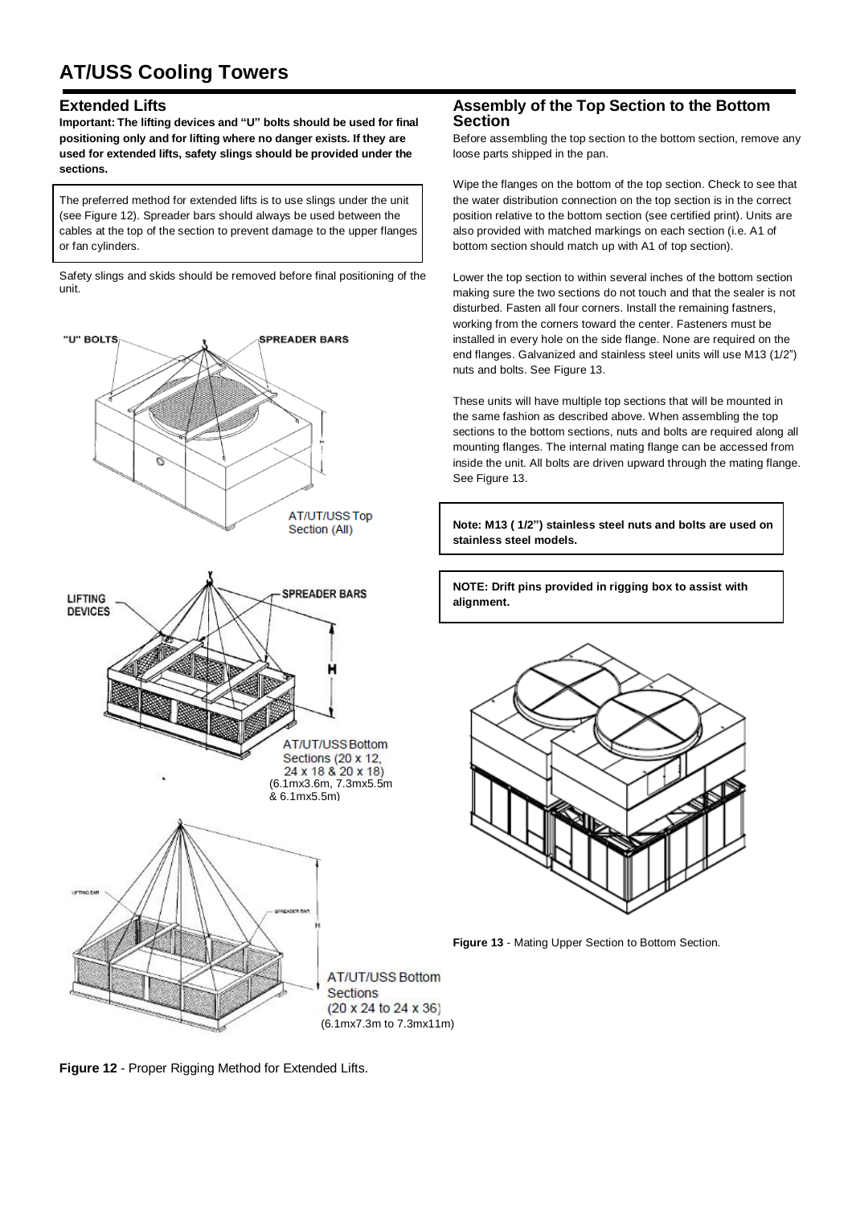#### **Extended Lifts**

**Important: The lifting devices and "U" bolts should be used for final positioning only and for lifting where no danger exists. If they are used for extended lifts, safety slings should be provided under the sections.** 

The preferred method for extended lifts is to use slings under the unit (see Figure 12). Spreader bars should always be used between the cables at the top of the section to prevent damage to the upper flanges or fan cylinders.

Safety slings and skids should be removed before final positioning of the unit.



#### **Assembly of the Top Section to the Bottom Section**

Before assembling the top section to the bottom section, remove any loose parts shipped in the pan.

Wipe the flanges on the bottom of the top section. Check to see that the water distribution connection on the top section is in the correct position relative to the bottom section (see certified print). Units are also provided with matched markings on each section (i.e. A1 of bottom section should match up with A1 of top section).

Lower the top section to within several inches of the bottom section making sure the two sections do not touch and that the sealer is not disturbed. Fasten all four corners. Install the remaining fastners, working from the corners toward the center. Fasteners must be installed in every hole on the side flange. None are required on the end flanges. Galvanized and stainless steel units will use M13 (1/2") nuts and bolts. See Figure 13.

These units will have multiple top sections that will be mounted in the same fashion as described above. When assembling the top sections to the bottom sections, nuts and bolts are required along all mounting flanges. The internal mating flange can be accessed from inside the unit. All bolts are driven upward through the mating flange. See Figure 13.

**Note: M13 ( 1/2") stainless steel nuts and bolts are used on stainless steel models.** 

**NOTE: Drift pins provided in rigging box to assist with alignment.**



**Figure 13** - Mating Upper Section to Bottom Section.

**Figure 12** - Proper Rigging Method for Extended Lifts.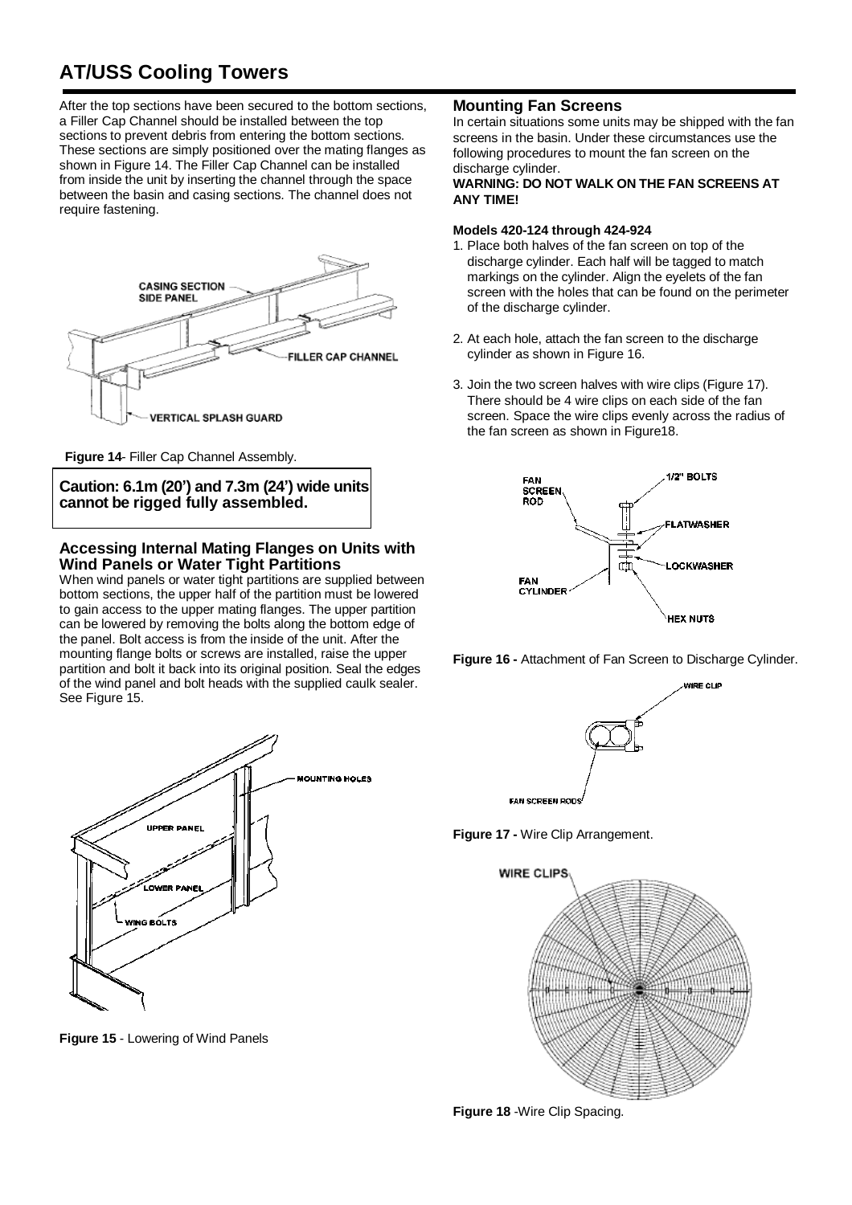After the top sections have been secured to the bottom sections, a Filler Cap Channel should be installed between the top sections to prevent debris from entering the bottom sections. These sections are simply positioned over the mating flanges as shown in Figure 14. The Filler Cap Channel can be installed from inside the unit by inserting the channel through the space between the basin and casing sections. The channel does not require fastening.



**Figure 14**- Filler Cap Channel Assembly.

**Caution: 6.1m (20') and 7.3m (24') wide units cannot be rigged fully assembled.**

#### **Accessing Internal Mating Flanges on Units with Wind Panels or Water Tight Partitions**

When wind panels or water tight partitions are supplied between bottom sections, the upper half of the partition must be lowered to gain access to the upper mating flanges. The upper partition can be lowered by removing the bolts along the bottom edge of the panel. Bolt access is from the inside of the unit. After the mounting flange bolts or screws are installed, raise the upper partition and bolt it back into its original position. Seal the edges of the wind panel and bolt heads with the supplied caulk sealer. See Figure 15.



**Figure 15** - Lowering of Wind Panels

#### **Mounting Fan Screens**

In certain situations some units may be shipped with the fan screens in the basin. Under these circumstances use the following procedures to mount the fan screen on the discharge cylinder.

#### **WARNING: DO NOT WALK ON THE FAN SCREENS AT ANY TIME!**

#### **Models 420-124 through 424-924**

- 1. Place both halves of the fan screen on top of the discharge cylinder. Each half will be tagged to match markings on the cylinder. Align the eyelets of the fan screen with the holes that can be found on the perimeter of the discharge cylinder.
- 2. At each hole, attach the fan screen to the discharge cylinder as shown in Figure 16.
- 3. Join the two screen halves with wire clips (Figure 17). There should be 4 wire clips on each side of the fan screen. Space the wire clips evenly across the radius of the fan screen as shown in Figure18.







**Figure 17 -** Wire Clip Arrangement.



**Figure 18** -Wire Clip Spacing.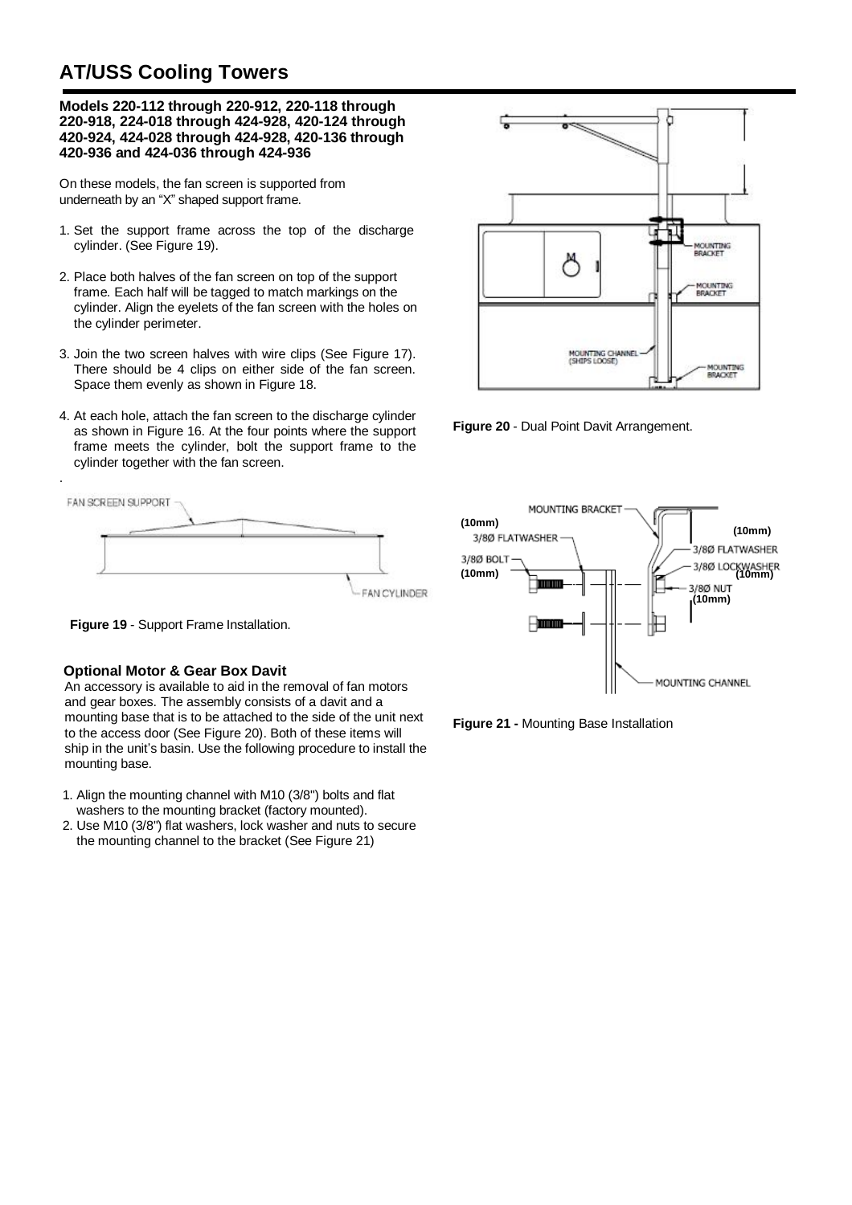**Models 220-112 through 220-912, 220-118 through 220-918, 224-018 through 424-928, 420-124 through 420-924, 424-028 through 424-928, 420-136 through 420-936 and 424-036 through 424-936** 

On these models, the fan screen is supported from underneath by an "X" shaped support frame.

- 1. Set the support frame across the top of the discharge cylinder. (See Figure 19).
- 2. Place both halves of the fan screen on top of the support frame. Each half will be tagged to match markings on the cylinder. Align the eyelets of the fan screen with the holes on the cylinder perimeter.
- 3. Join the two screen halves with wire clips (See Figure 17). There should be 4 clips on either side of the fan screen. Space them evenly as shown in Figure 18.
- 4. At each hole, attach the fan screen to the discharge cylinder as shown in Figure 16. At the four points where the support frame meets the cylinder, bolt the support frame to the cylinder together with the fan screen.





.

#### **Optional Motor & Gear Box Davit**

An accessory is available to aid in the removal of fan motors and gear boxes. The assembly consists of a davit and a mounting base that is to be attached to the side of the unit next to the access door (See Figure 20). Both of these items will ship in the unit's basin. Use the following procedure to install the mounting base.

- 1. Align the mounting channel with M10 (3/8") bolts and flat washers to the mounting bracket (factory mounted).
- 2. Use M10 (3/8") flat washers, lock washer and nuts to secure the mounting channel to the bracket (See Figure 21)



**Figure 20** - Dual Point Davit Arrangement.



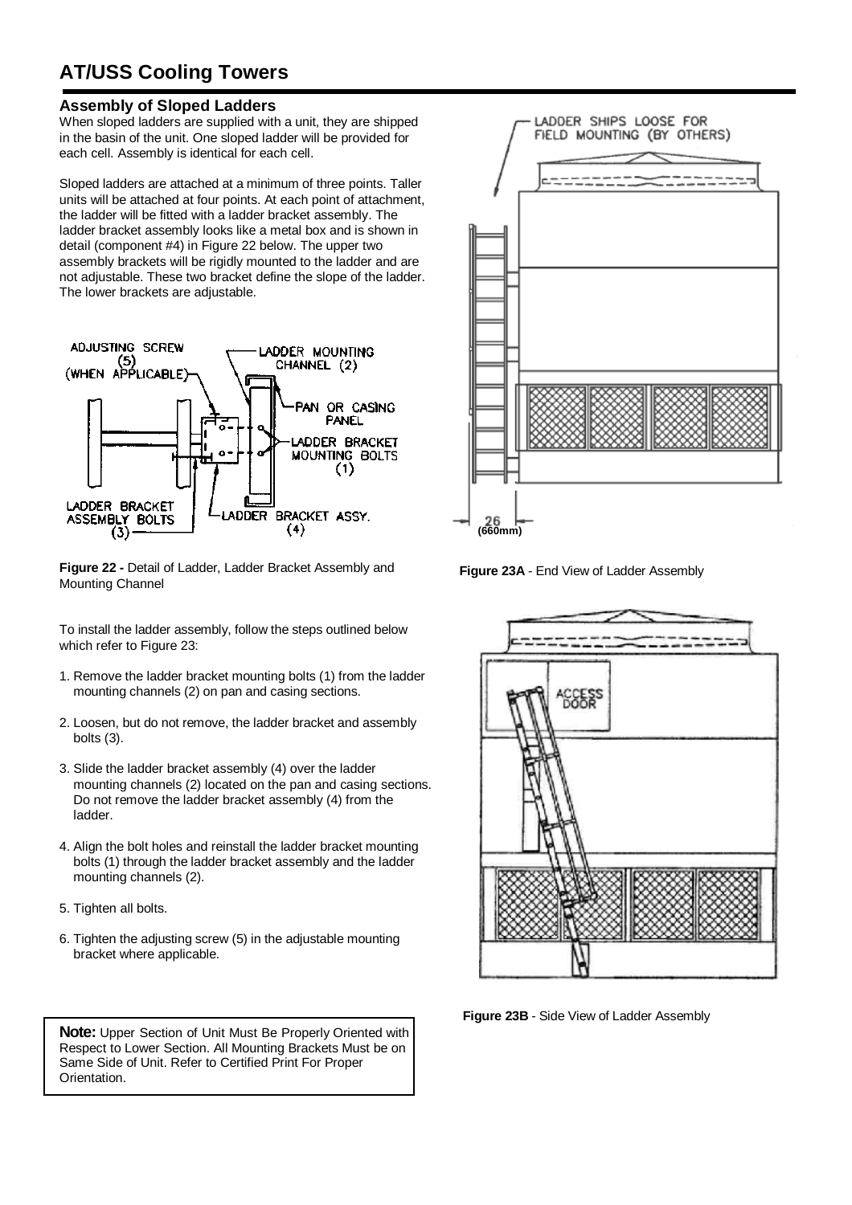#### **Assembly of Sloped Ladders**

When sloped ladders are supplied with a unit, they are shipped in the basin of the unit. One sloped ladder will be provided for each cell. Assembly is identical for each cell.

Sloped ladders are attached at a minimum of three points. Taller units will be attached at four points. At each point of attachment, the ladder will be fitted with a ladder bracket assembly. The ladder bracket assembly looks like a metal box and is shown in detail (component #4) in Figure 22 below. The upper two assembly brackets will be rigidly mounted to the ladder and are not adjustable. These two bracket define the slope of the ladder. The lower brackets are adjustable.



**Figure 22 -** Detail of Ladder, Ladder Bracket Assembly and Mounting Channel

To install the ladder assembly, follow the steps outlined below which refer to Figure 23:

- 1. Remove the ladder bracket mounting bolts (1) from the ladder mounting channels (2) on pan and casing sections.
- 2. Loosen, but do not remove, the ladder bracket and assembly bolts (3).
- 3. Slide the ladder bracket assembly (4) over the ladder mounting channels (2) located on the pan and casing sections. Do not remove the ladder bracket assembly (4) from the ladder.
- 4. Align the bolt holes and reinstall the ladder bracket mounting bolts (1) through the ladder bracket assembly and the ladder mounting channels (2).
- 5. Tighten all bolts.
- 6. Tighten the adjusting screw (5) in the adjustable mounting bracket where applicable.

**Note:** Upper Section of Unit Must Be Properly Oriented with Respect to Lower Section. All Mounting Brackets Must be on Same Side of Unit. Refer to Certified Print For Proper Orientation.



**Figure 23A** - End View of Ladder Assembly



**Figure 23B** - Side View of Ladder Assembly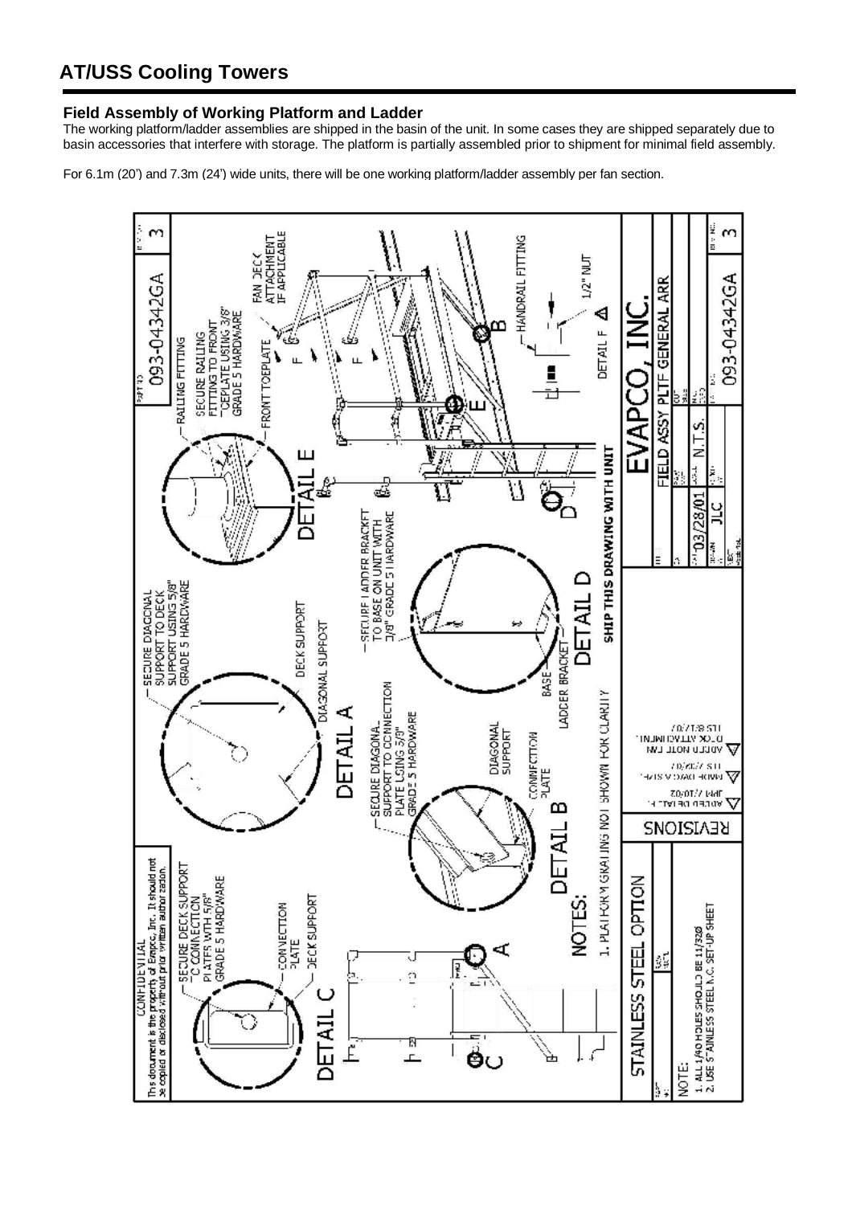#### **Field Assembly of Working Platform and Ladder**

The working platform/ladder assemblies are shipped in the basin of the unit. In some cases they are shipped separately due to basin accessories that interfere with storage. The platform is partially assembled prior to shipment for minimal field assembly.

For 6.1m (20') and 7.3m (24') wide units, there will be one working platform/ladder assembly per fan section.

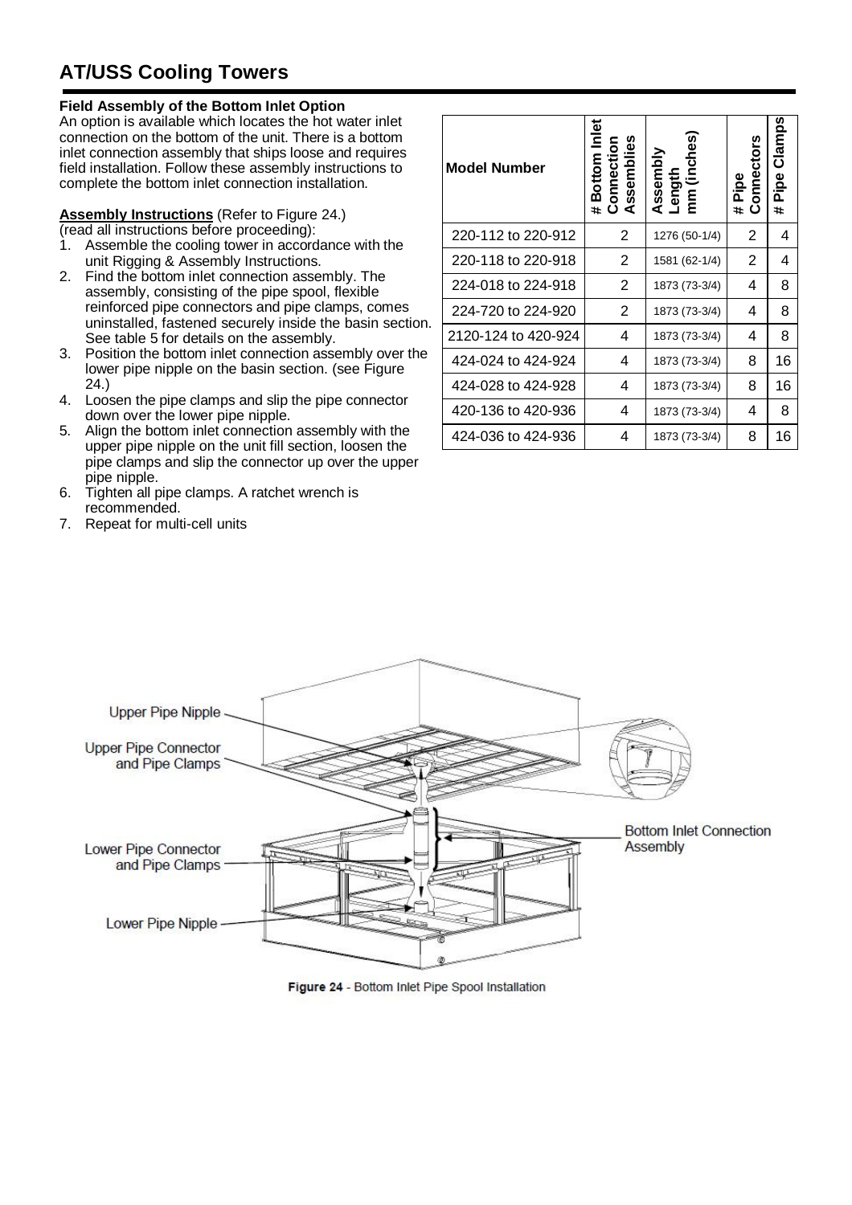#### **Field Assembly of the Bottom Inlet Option**

An option is available which locates the hot water inlet connection on the bottom of the unit. There is a bottom inlet connection assembly that ships loose and requires field installation. Follow these assembly instructions to complete the bottom inlet connection installation.

### **Assembly Instructions** (Refer to Figure 24.)

(read all instructions before proceeding):

- 1. Assemble the cooling tower in accordance with the unit Rigging & Assembly Instructions.
- 2. Find the bottom inlet connection assembly. The assembly, consisting of the pipe spool, flexible reinforced pipe connectors and pipe clamps, comes uninstalled, fastened securely inside the basin section. See table 5 for details on the assembly.
- 3. Position the bottom inlet connection assembly over the lower pipe nipple on the basin section. (see Figure 24.)
- 4. Loosen the pipe clamps and slip the pipe connector down over the lower pipe nipple.
- 5. Align the bottom inlet connection assembly with the upper pipe nipple on the unit fill section, loosen the pipe clamps and slip the connector up over the upper pipe nipple.
- 6. Tighten all pipe clamps. A ratchet wrench is recommended.
- 7. Repeat for multi-cell units

| <b>Model Number</b> | Bottom Inlet<br><b>Connection</b><br>Assemblies<br>Ħ. | (inches<br>Assembly<br>Length<br>mm | onnectors<br>Pipe<br>#.<br>ت | <b>Clamps</b><br>Pipe<br># |
|---------------------|-------------------------------------------------------|-------------------------------------|------------------------------|----------------------------|
| 220-112 to 220-912  | 2                                                     | 1276 (50-1/4)                       | 2                            | 4                          |
| 220-118 to 220-918  | 2                                                     | 1581 (62-1/4)                       | 2                            | 4                          |
| 224-018 to 224-918  | 2                                                     | 1873 (73-3/4)                       | 4                            | 8                          |
| 224-720 to 224-920  | 2                                                     | 1873 (73-3/4)                       | 4                            | 8                          |
| 2120-124 to 420-924 | 4                                                     | 1873 (73-3/4)                       | 4                            | 8                          |
| 424-024 to 424-924  | 4                                                     | 1873 (73-3/4)                       | 8                            | 16                         |
| 424-028 to 424-928  | 4                                                     | 1873 (73-3/4)                       | 8                            | 16                         |
| 420-136 to 420-936  | 4                                                     | 1873 (73-3/4)                       | 4                            | 8                          |
| 424-036 to 424-936  | 4                                                     | 1873 (73-3/4)                       | 8                            | 16                         |



Figure 24 - Bottom Inlet Pipe Spool Installation